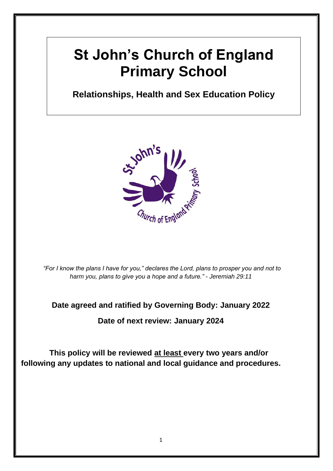# **St John's Church of England Primary School**

# *Stationships, Health and Sex Education* **Relationships, Health and Sex Education Policy**



*"For I know the plans I have for you," declares the Lord, plans to prosper you and not to harm you, plans to give you a hope and a future." - Jeremiah 29:11*

## **Date agreed and ratified by Governing Body: January 2022**

**Date of next review: January 2024**

**This policy will be reviewed at least every two years and/or following any updates to national and local guidance and procedures.**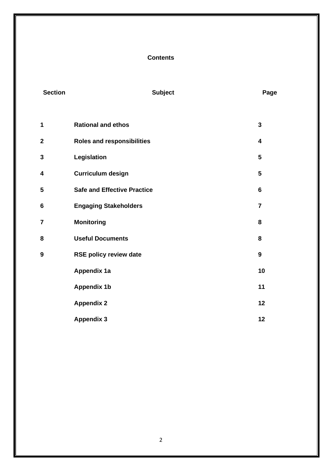### **Contents**

| <b>Section</b> | <b>Subject</b>                     | Page                    |
|----------------|------------------------------------|-------------------------|
| 1              | <b>Rational and ethos</b>          | $\overline{\mathbf{3}}$ |
| $\mathbf 2$    | <b>Roles and responsibilities</b>  | $\overline{\mathbf{4}}$ |
| 3              | Legislation                        | 5                       |
| 4              | <b>Curriculum design</b>           | 5                       |
| 5              | <b>Safe and Effective Practice</b> | $6\phantom{1}$          |
| $6\phantom{1}$ | <b>Engaging Stakeholders</b>       | $\overline{7}$          |
| 7              | <b>Monitoring</b>                  | 8                       |
| 8              | <b>Useful Documents</b>            | 8                       |
| 9              | <b>RSE policy review date</b>      | 9                       |
|                | <b>Appendix 1a</b>                 | 10                      |
|                | <b>Appendix 1b</b>                 | 11                      |
|                | <b>Appendix 2</b>                  | 12                      |
|                | <b>Appendix 3</b>                  | 12                      |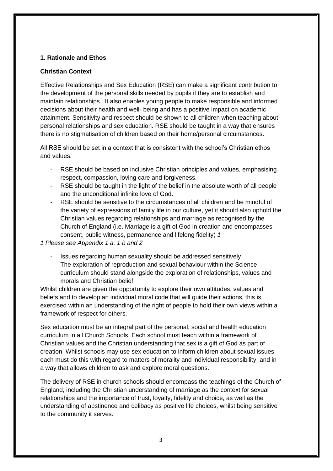#### **1. Rationale and Ethos**

#### **Christian Context**

Effective Relationships and Sex Education (RSE) can make a significant contribution to the development of the personal skills needed by pupils if they are to establish and maintain relationships. It also enables young people to make responsible and informed decisions about their health and well- being and has a positive impact on academic attainment. Sensitivity and respect should be shown to all children when teaching about personal relationships and sex education. RSE should be taught in a way that ensures there is no stigmatisation of children based on their home/personal circumstances.

All RSE should be set in a context that is consistent with the school's Christian ethos and values.

- RSE should be based on inclusive Christian principles and values, emphasising respect, compassion, loving care and forgiveness.
- RSE should be taught in the light of the belief in the absolute worth of all people and the unconditional infinite love of God.
- RSE should be sensitive to the circumstances of all children and be mindful of the variety of expressions of family life in our culture, yet it should also uphold the Christian values regarding relationships and marriage as recognised by the Church of England (i.e. Marriage is a gift of God in creation and encompasses consent, public witness, permanence and lifelong fidelity) *1*

*1 Please see Appendix 1 a, 1 b and 2* 

- Issues regarding human sexuality should be addressed sensitively
- The exploration of reproduction and sexual behaviour within the Science curriculum should stand alongside the exploration of relationships, values and morals and Christian belief

Whilst children are given the opportunity to explore their own attitudes, values and beliefs and to develop an individual moral code that will guide their actions, this is exercised within an understanding of the right of people to hold their own views within a framework of respect for others.

Sex education must be an integral part of the personal, social and health education curriculum in all Church Schools. Each school must teach within a framework of Christian values and the Christian understanding that sex is a gift of God as part of creation. Whilst schools may use sex education to inform children about sexual issues, each must do this with regard to matters of morality and individual responsibility, and in a way that allows children to ask and explore moral questions.

The delivery of RSE in church schools should encompass the teachings of the Church of England, including the Christian understanding of marriage as the context for sexual relationships and the importance of trust, loyalty, fidelity and choice, as well as the understanding of abstinence and celibacy as positive life choices, whilst being sensitive to the community it serves.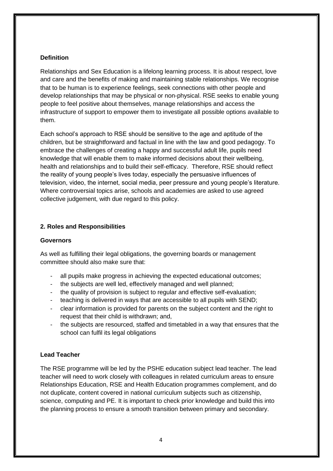#### **Definition**

Relationships and Sex Education is a lifelong learning process. It is about respect, love and care and the benefits of making and maintaining stable relationships. We recognise that to be human is to experience feelings, seek connections with other people and develop relationships that may be physical or non-physical. RSE seeks to enable young people to feel positive about themselves, manage relationships and access the infrastructure of support to empower them to investigate all possible options available to them.

Each school's approach to RSE should be sensitive to the age and aptitude of the children, but be straightforward and factual in line with the law and good pedagogy. To embrace the challenges of creating a happy and successful adult life, pupils need knowledge that will enable them to make informed decisions about their wellbeing, health and relationships and to build their self-efficacy. Therefore, RSE should reflect the reality of young people's lives today, especially the persuasive influences of television, video, the internet, social media, peer pressure and young people's literature. Where controversial topics arise, schools and academies are asked to use agreed collective judgement, with due regard to this policy.

#### **2. Roles and Responsibilities**

#### **Governors**

As well as fulfilling their legal obligations, the governing boards or management committee should also make sure that:

- all pupils make progress in achieving the expected educational outcomes;
- the subjects are well led, effectively managed and well planned;
- the quality of provision is subject to regular and effective self-evaluation;
- teaching is delivered in ways that are accessible to all pupils with SEND;
- clear information is provided for parents on the subject content and the right to request that their child is withdrawn; and,
- the subjects are resourced, staffed and timetabled in a way that ensures that the school can fulfil its legal obligations

### **Lead Teacher**

The RSE programme will be led by the PSHE education subject lead teacher. The lead teacher will need to work closely with colleagues in related curriculum areas to ensure Relationships Education, RSE and Health Education programmes complement, and do not duplicate, content covered in national curriculum subjects such as citizenship, science, computing and PE. It is important to check prior knowledge and build this into the planning process to ensure a smooth transition between primary and secondary.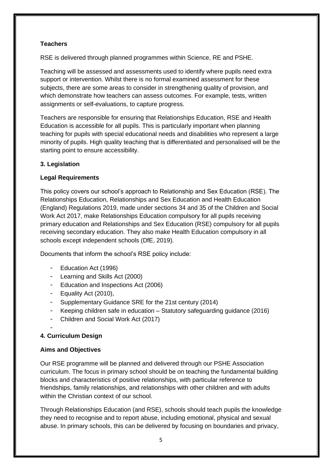#### **Teachers**

RSE is delivered through planned programmes within Science, RE and PSHE.

Teaching will be assessed and assessments used to identify where pupils need extra support or intervention. Whilst there is no formal examined assessment for these subjects, there are some areas to consider in strengthening quality of provision, and which demonstrate how teachers can assess outcomes. For example, tests, written assignments or self-evaluations, to capture progress.

Teachers are responsible for ensuring that Relationships Education, RSE and Health Education is accessible for all pupils. This is particularly important when planning teaching for pupils with special educational needs and disabilities who represent a large minority of pupils. High quality teaching that is differentiated and personalised will be the starting point to ensure accessibility.

#### **3. Legislation**

#### **Legal Requirements**

This policy covers our school's approach to Relationship and Sex Education (RSE). The Relationships Education, Relationships and Sex Education and Health Education (England) Regulations 2019, made under sections 34 and 35 of the Children and Social Work Act 2017, make Relationships Education compulsory for all pupils receiving primary education and Relationships and Sex Education (RSE) compulsory for all pupils receiving secondary education. They also make Health Education compulsory in all schools except independent schools (DfE, 2019).

Documents that inform the school's RSE policy include:

- Education Act (1996)
- Learning and Skills Act (2000)
- Education and Inspections Act (2006)
- Equality Act (2010),
- Supplementary Guidance SRE for the 21st century (2014)
- Keeping children safe in education Statutory safeguarding guidance (2016)
- Children and Social Work Act (2017)

#### - **4. Curriculum Design**

#### **Aims and Objectives**

Our RSE programme will be planned and delivered through our PSHE Association curriculum. The focus in primary school should be on teaching the fundamental building blocks and characteristics of positive relationships, with particular reference to friendships, family relationships, and relationships with other children and with adults within the Christian context of our school.

Through Relationships Education (and RSE), schools should teach pupils the knowledge they need to recognise and to report abuse, including emotional, physical and sexual abuse. In primary schools, this can be delivered by focusing on boundaries and privacy,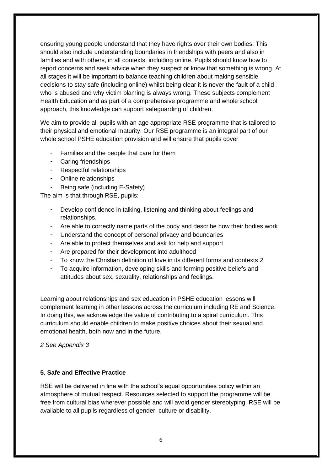ensuring young people understand that they have rights over their own bodies. This should also include understanding boundaries in friendships with peers and also in families and with others, in all contexts, including online. Pupils should know how to report concerns and seek advice when they suspect or know that something is wrong. At all stages it will be important to balance teaching children about making sensible decisions to stay safe (including online) whilst being clear it is never the fault of a child who is abused and why victim blaming is always wrong. These subjects complement Health Education and as part of a comprehensive programme and whole school approach, this knowledge can support safeguarding of children.

We aim to provide all pupils with an age appropriate RSE programme that is tailored to their physical and emotional maturity. Our RSE programme is an integral part of our whole school PSHE education provision and will ensure that pupils cover

- Families and the people that care for them
- Caring friendships
- Respectful relationships
- Online relationships
- Being safe (including E-Safety)

The aim is that through RSE, pupils:

- Develop confidence in talking, listening and thinking about feelings and relationships.
- Are able to correctly name parts of the body and describe how their bodies work
- Understand the concept of personal privacy and boundaries
- Are able to protect themselves and ask for help and support
- Are prepared for their development into adulthood
- To know the Christian definition of love in its different forms and contexts *2*
- To acquire information, developing skills and forming positive beliefs and attitudes about sex, sexuality, relationships and feelings.

Learning about relationships and sex education in PSHE education lessons will complement learning in other lessons across the curriculum including RE and Science. In doing this, we acknowledge the value of contributing to a spiral curriculum. This curriculum should enable children to make positive choices about their sexual and emotional health, both now and in the future.

*2 See Appendix 3* 

#### **5. Safe and Effective Practice**

RSE will be delivered in line with the school's equal opportunities policy within an atmosphere of mutual respect. Resources selected to support the programme will be free from cultural bias wherever possible and will avoid gender stereotyping. RSE will be available to all pupils regardless of gender, culture or disability.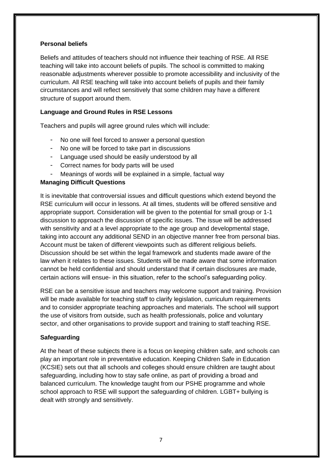#### **Personal beliefs**

Beliefs and attitudes of teachers should not influence their teaching of RSE. All RSE teaching will take into account beliefs of pupils. The school is committed to making reasonable adjustments wherever possible to promote accessibility and inclusivity of the curriculum. All RSE teaching will take into account beliefs of pupils and their family circumstances and will reflect sensitively that some children may have a different structure of support around them.

#### **Language and Ground Rules in RSE Lessons**

Teachers and pupils will agree ground rules which will include:

- No one will feel forced to answer a personal question
- No one will be forced to take part in discussions
- Language used should be easily understood by all
- Correct names for body parts will be used
- Meanings of words will be explained in a simple, factual way

#### **Managing Difficult Questions**

It is inevitable that controversial issues and difficult questions which extend beyond the RSE curriculum will occur in lessons. At all times, students will be offered sensitive and appropriate support. Consideration will be given to the potential for small group or 1-1 discussion to approach the discussion of specific issues. The issue will be addressed with sensitivity and at a level appropriate to the age group and developmental stage, taking into account any additional SEND in an objective manner free from personal bias. Account must be taken of different viewpoints such as different religious beliefs. Discussion should be set within the legal framework and students made aware of the law when it relates to these issues. Students will be made aware that some information cannot be held confidential and should understand that if certain disclosures are made, certain actions will ensue- in this situation, refer to the school's safeguarding policy.

RSE can be a sensitive issue and teachers may welcome support and training. Provision will be made available for teaching staff to clarify legislation, curriculum requirements and to consider appropriate teaching approaches and materials. The school will support the use of visitors from outside, such as health professionals, police and voluntary sector, and other organisations to provide support and training to staff teaching RSE.

### **Safeguarding**

At the heart of these subjects there is a focus on keeping children safe, and schools can play an important role in preventative education. Keeping Children Safe in Education (KCSIE) sets out that all schools and colleges should ensure children are taught about safeguarding, including how to stay safe online, as part of providing a broad and balanced curriculum. The knowledge taught from our PSHE programme and whole school approach to RSE will support the safeguarding of children. LGBT+ bullying is dealt with strongly and sensitively.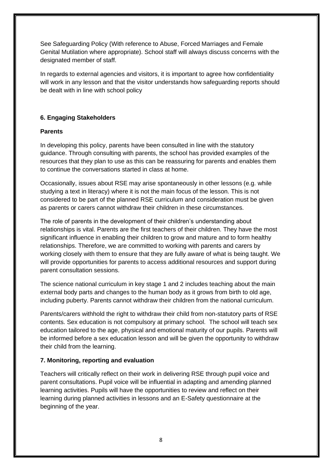See Safeguarding Policy (With reference to Abuse, Forced Marriages and Female Genital Mutilation where appropriate). School staff will always discuss concerns with the designated member of staff.

In regards to external agencies and visitors, it is important to agree how confidentiality will work in any lesson and that the visitor understands how safeguarding reports should be dealt with in line with school policy

#### **6. Engaging Stakeholders**

#### **Parents**

In developing this policy, parents have been consulted in line with the statutory guidance. Through consulting with parents, the school has provided examples of the resources that they plan to use as this can be reassuring for parents and enables them to continue the conversations started in class at home.

Occasionally, issues about RSE may arise spontaneously in other lessons (e.g. while studying a text in literacy) where it is not the main focus of the lesson. This is not considered to be part of the planned RSE curriculum and consideration must be given as parents or carers cannot withdraw their children in these circumstances.

The role of parents in the development of their children's understanding about relationships is vital. Parents are the first teachers of their children. They have the most significant influence in enabling their children to grow and mature and to form healthy relationships. Therefore, we are committed to working with parents and carers by working closely with them to ensure that they are fully aware of what is being taught. We will provide opportunities for parents to access additional resources and support during parent consultation sessions.

The science national curriculum in key stage 1 and 2 includes teaching about the main external body parts and changes to the human body as it grows from birth to old age, including puberty. Parents cannot withdraw their children from the national curriculum.

Parents/carers withhold the right to withdraw their child from non-statutory parts of RSE contents. Sex education is not compulsory at primary school. The school will teach sex education tailored to the age, physical and emotional maturity of our pupils. Parents will be informed before a sex education lesson and will be given the opportunity to withdraw their child from the learning.

#### **7. Monitoring, reporting and evaluation**

Teachers will critically reflect on their work in delivering RSE through pupil voice and parent consultations. Pupil voice will be influential in adapting and amending planned learning activities. Pupils will have the opportunities to review and reflect on their learning during planned activities in lessons and an E-Safety questionnaire at the beginning of the year.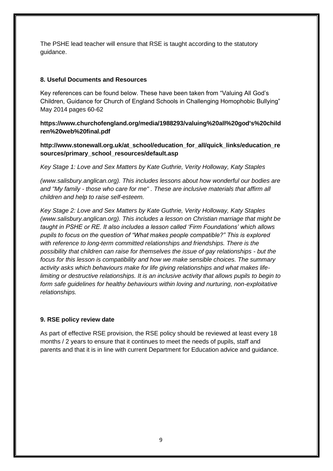The PSHE lead teacher will ensure that RSE is taught according to the statutory guidance.

#### **8. Useful Documents and Resources**

Key references can be found below. These have been taken from "Valuing All God's Children, Guidance for Church of England Schools in Challenging Homophobic Bullying" May 2014 pages 60-62

**https://www.churchofengland.org/media/1988293/valuing%20all%20god's%20child ren%20web%20final.pdf** 

**http://www.stonewall.org.uk/at\_school/education\_for\_all/quick\_links/education\_re sources/primary\_school\_resources/default.asp** 

*Key Stage 1: Love and Sex Matters by Kate Guthrie, Verity Holloway, Katy Staples* 

*(www.salisbury.anglican.org). This includes lessons about how wonderful our bodies are and "My family - those who care for me" . These are inclusive materials that affirm all children and help to raise self-esteem.* 

*Key Stage 2: Love and Sex Matters by Kate Guthrie, Verity Holloway, Katy Staples (www.salisbury.anglican.org). This includes a lesson on Christian marriage that might be taught in PSHE or RE. It also includes a lesson called 'Firm Foundations' which allows pupils to focus on the question of "What makes people compatible?" This is explored with reference to long-term committed relationships and friendships. There is the possibility that children can raise for themselves the issue of gay relationships - but the focus for this lesson is compatibility and how we make sensible choices. The summary activity asks which behaviours make for life giving relationships and what makes lifelimiting or destructive relationships. It is an inclusive activity that allows pupils to begin to form safe guidelines for healthy behaviours within loving and nurturing, non-exploitative relationships.*

### **9. RSE policy review date**

As part of effective RSE provision, the RSE policy should be reviewed at least every 18 months / 2 years to ensure that it continues to meet the needs of pupils, staff and parents and that it is in line with current Department for Education advice and guidance.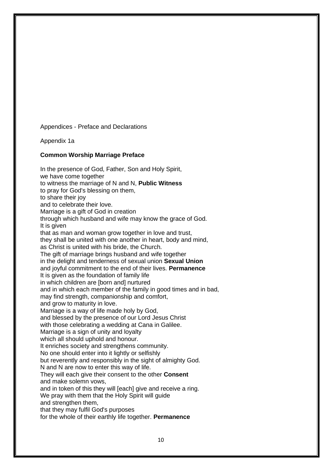Appendices - Preface and Declarations

Appendix 1a

#### **Common Worship Marriage Preface**

In the presence of God, Father, Son and Holy Spirit, we have come together to witness the marriage of N and N, **Public Witness**  to pray for God's blessing on them, to share their joy and to celebrate their love. Marriage is a gift of God in creation through which husband and wife may know the grace of God. It is given that as man and woman grow together in love and trust, they shall be united with one another in heart, body and mind, as Christ is united with his bride, the Church. The gift of marriage brings husband and wife together in the delight and tenderness of sexual union **Sexual Union**  and joyful commitment to the end of their lives. **Permanence**  It is given as the foundation of family life in which children are [born and] nurtured and in which each member of the family in good times and in bad, may find strength, companionship and comfort, and grow to maturity in love. Marriage is a way of life made holy by God, and blessed by the presence of our Lord Jesus Christ with those celebrating a wedding at Cana in Galilee. Marriage is a sign of unity and loyalty which all should uphold and honour. It enriches society and strengthens community. No one should enter into it lightly or selfishly but reverently and responsibly in the sight of almighty God. N and N are now to enter this way of life. They will each give their consent to the other **Consent**  and make solemn vows, and in token of this they will [each] give and receive a ring. We pray with them that the Holy Spirit will quide and strengthen them, that they may fulfil God's purposes for the whole of their earthly life together. **Permanence**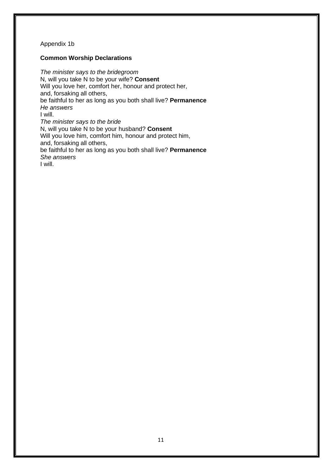#### Appendix 1b

#### **Common Worship Declarations**

*The minister says to the bridegroom*  N, will you take N to be your wife? **Consent**  Will you love her, comfort her, honour and protect her, and, forsaking all others, be faithful to her as long as you both shall live? **Permanence**  *He answers*  I will. *The minister says to the bride*  N, will you take N to be your husband? **Consent**  Will you love him, comfort him, honour and protect him, and, forsaking all others, be faithful to her as long as you both shall live? **Permanence**  *She answers*  I will.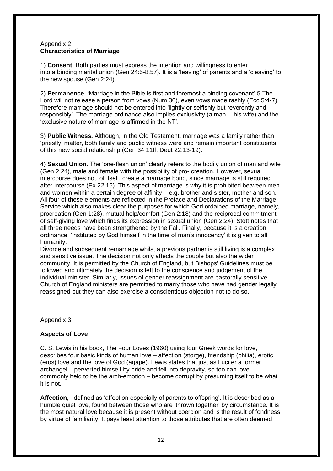#### Appendix 2 **Characteristics of Marriage**

1) **Consent**. Both parties must express the intention and willingness to enter into a binding marital union (Gen 24:5-8,57). It is a 'leaving' of parents and a 'cleaving' to the new spouse (Gen 2:24).

2) **Permanence**. 'Marriage in the Bible is first and foremost a binding covenant'.5 The Lord will not release a person from vows (Num 30), even vows made rashly (Ecc 5:4-7). Therefore marriage should not be entered into 'lightly or selfishly but reverently and responsibly'. The marriage ordinance also implies exclusivity (a man… his wife) and the 'exclusive nature of marriage is affirmed in the NT'.

3) **Public Witness.** Although, in the Old Testament, marriage was a family rather than 'priestly' matter, both family and public witness were and remain important constituents of this new social relationship (Gen 34:11ff; Deut 22:13-19).

4) **Sexual Union**. The 'one-flesh union' clearly refers to the bodily union of man and wife (Gen 2:24), male and female with the possibility of pro- creation. However, sexual intercourse does not, of itself, create a marriage bond, since marriage is still required after intercourse (Ex 22:16). This aspect of marriage is why it is prohibited between men and women within a certain degree of affinity – e.g. brother and sister, mother and son. All four of these elements are reflected in the Preface and Declarations of the Marriage Service which also makes clear the purposes for which God ordained marriage, namely, procreation (Gen 1:28), mutual help/comfort (Gen 2:18) and the reciprocal commitment of self-giving love which finds its expression in sexual union (Gen 2:24). Stott notes that all three needs have been strengthened by the Fall. Finally, because it is a creation ordinance, 'instituted by God himself in the time of man's innocency' it is given to all humanity.

Divorce and subsequent remarriage whilst a previous partner is still living is a complex and sensitive issue. The decision not only affects the couple but also the wider community. It is permitted by the Church of England, but Bishops' Guidelines must be followed and ultimately the decision is left to the conscience and judgement of the individual minister. Similarly, issues of gender reassignment are pastorally sensitive. Church of England ministers are permitted to marry those who have had gender legally reassigned but they can also exercise a conscientious objection not to do so.

Appendix 3

### **Aspects of Love**

C. S. Lewis in his book, The Four Loves (1960) using four Greek words for love, describes four basic kinds of human love – affection (storge), friendship (philia), erotic (eros) love and the love of God (agape). Lewis states that just as Lucifer a former archangel – perverted himself by pride and fell into depravity, so too can love – commonly held to be the arch-emotion – become corrupt by presuming itself to be what it is not.

**Affection**,– defined as 'affection especially of parents to offspring'. It is described as a humble quiet love, found between those who are 'thrown together' by circumstance. It is the most natural love because it is present without coercion and is the result of fondness by virtue of familiarity. It pays least attention to those attributes that are often deemed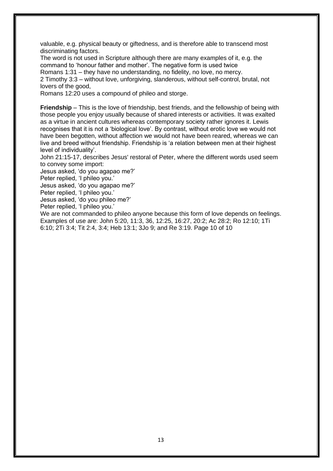valuable, e.g. physical beauty or giftedness, and is therefore able to transcend most discriminating factors.

The word is not used in Scripture although there are many examples of it, e.g. the command to 'honour father and mother'. The negative form is used twice

Romans 1:31 – they have no understanding, no fidelity, no love, no mercy.

2 Timothy 3:3 – without love, unforgiving, slanderous, without self-control, brutal, not lovers of the good,

Romans 12:20 uses a compound of phileo and storge.

**Friendship** – This is the love of friendship, best friends, and the fellowship of being with those people you enjoy usually because of shared interests or activities. It was exalted as a virtue in ancient cultures whereas contemporary society rather ignores it. Lewis recognises that it is not a 'biological love'. By contrast, without erotic love we would not have been begotten, without affection we would not have been reared, whereas we can live and breed without friendship. Friendship is 'a relation between men at their highest level of individuality'.

John 21:15-17, describes Jesus' restoral of Peter, where the different words used seem to convey some import:

Jesus asked, 'do you agapao me?'

Peter replied, 'I phileo you.'

Jesus asked, 'do you agapao me?'

Peter replied, 'I phileo you.'

Jesus asked, 'do you phileo me?'

Peter replied, 'I phileo you.'

We are not commanded to phileo anyone because this form of love depends on feelings. Examples of use are: John 5:20, 11:3, 36, 12:25, 16:27, 20:2; Ac 28:2; Ro 12:10; 1Ti 6:10; 2Ti 3:4; Tit 2:4, 3:4; Heb 13:1; 3Jo 9; and Re 3:19. Page 10 of 10